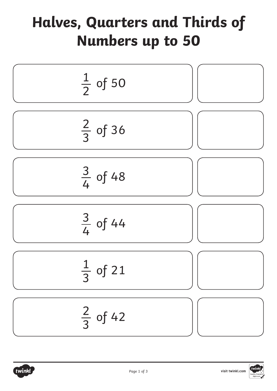## **Halves, Quarters and Thirds of Numbers up to 50**



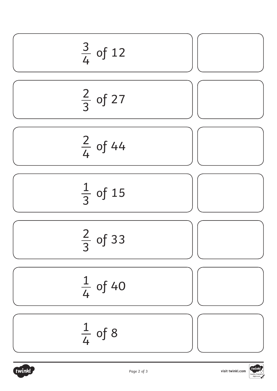

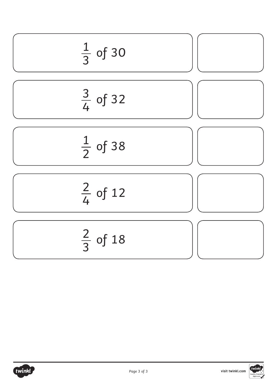

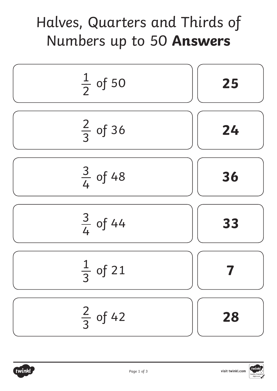## Halves, Quarters and Thirds of Numbers up to 50 **Answers**



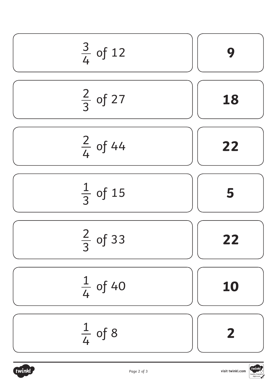